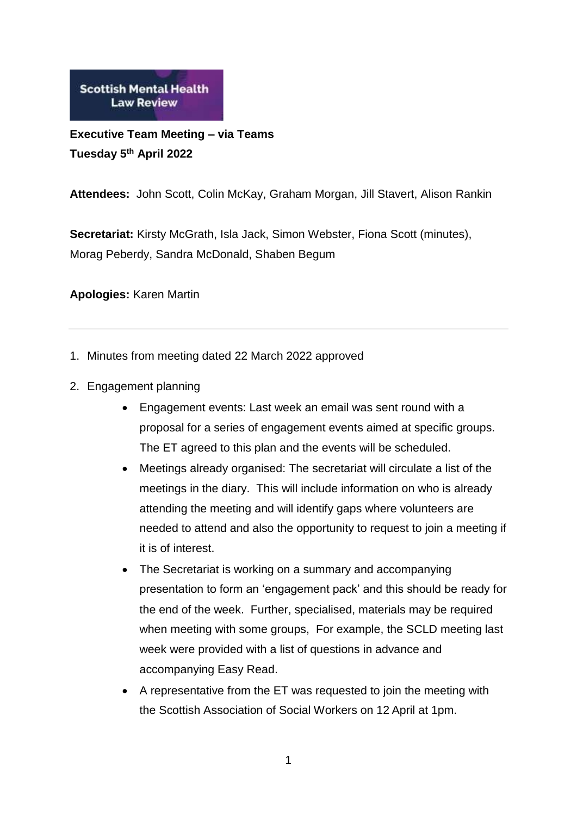**Scottish Mental Health Law Review** 

**Executive Team Meeting – via Teams Tuesday 5 th April 2022**

**Attendees:** John Scott, Colin McKay, Graham Morgan, Jill Stavert, Alison Rankin

**Secretariat:** Kirsty McGrath, Isla Jack, Simon Webster, Fiona Scott (minutes), Morag Peberdy, Sandra McDonald, Shaben Begum

**Apologies:** Karen Martin

- 1. Minutes from meeting dated 22 March 2022 approved
- 2. Engagement planning
	- Engagement events: Last week an email was sent round with a proposal for a series of engagement events aimed at specific groups. The ET agreed to this plan and the events will be scheduled.
	- Meetings already organised: The secretariat will circulate a list of the meetings in the diary. This will include information on who is already attending the meeting and will identify gaps where volunteers are needed to attend and also the opportunity to request to join a meeting if it is of interest.
	- The Secretariat is working on a summary and accompanying presentation to form an 'engagement pack' and this should be ready for the end of the week. Further, specialised, materials may be required when meeting with some groups, For example, the SCLD meeting last week were provided with a list of questions in advance and accompanying Easy Read.
	- A representative from the ET was requested to join the meeting with the Scottish Association of Social Workers on 12 April at 1pm.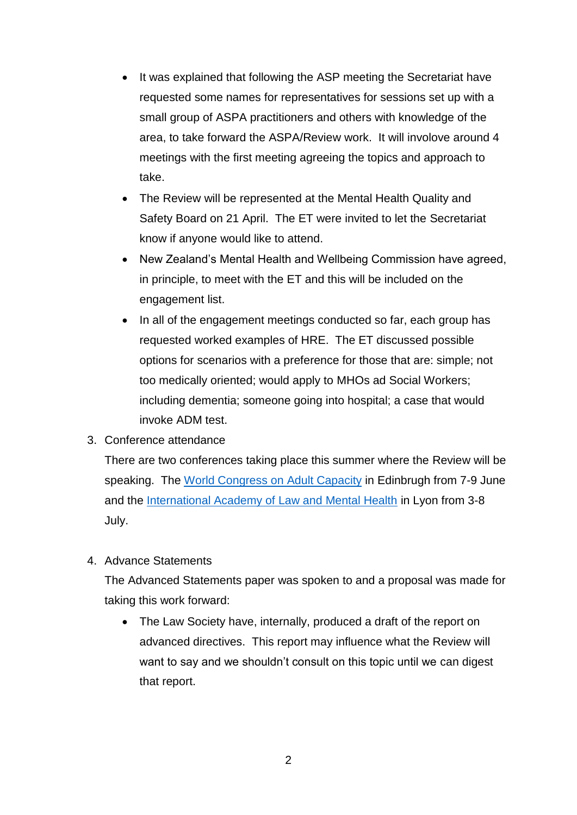- It was explained that following the ASP meeting the Secretariat have requested some names for representatives for sessions set up with a small group of ASPA practitioners and others with knowledge of the area, to take forward the ASPA/Review work. It will involove around 4 meetings with the first meeting agreeing the topics and approach to take.
- The Review will be represented at the Mental Health Quality and Safety Board on 21 April. The ET were invited to let the Secretariat know if anyone would like to attend.
- New Zealand's Mental Health and Wellbeing Commission have agreed, in principle, to meet with the ET and this will be included on the engagement list.
- In all of the engagement meetings conducted so far, each group has requested worked examples of HRE. The ET discussed possible options for scenarios with a preference for those that are: simple; not too medically oriented; would apply to MHOs ad Social Workers; including dementia; someone going into hospital; a case that would invoke ADM test.
- 3. Conference attendance

There are two conferences taking place this summer where the Review will be speaking. The [World Congress on Adult Capacity](https://wcac2022.org/) in Edinbrugh from 7-9 June and the [International Academy of Law and Mental Health](https://ialmh.org/general-information) in Lyon from 3-8 July.

4. Advance Statements

The Advanced Statements paper was spoken to and a proposal was made for taking this work forward:

• The Law Society have, internally, produced a draft of the report on advanced directives. This report may influence what the Review will want to say and we shouldn't consult on this topic until we can digest that report.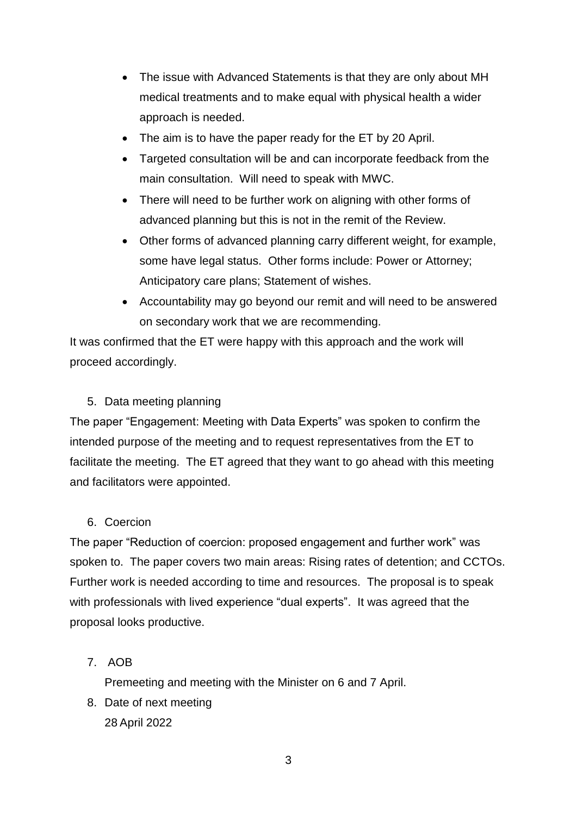- The issue with Advanced Statements is that they are only about MH medical treatments and to make equal with physical health a wider approach is needed.
- The aim is to have the paper ready for the ET by 20 April.
- Targeted consultation will be and can incorporate feedback from the main consultation. Will need to speak with MWC.
- There will need to be further work on aligning with other forms of advanced planning but this is not in the remit of the Review.
- Other forms of advanced planning carry different weight, for example, some have legal status. Other forms include: Power or Attorney; Anticipatory care plans; Statement of wishes.
- Accountability may go beyond our remit and will need to be answered on secondary work that we are recommending.

It was confirmed that the ET were happy with this approach and the work will proceed accordingly.

## 5. Data meeting planning

The paper "Engagement: Meeting with Data Experts" was spoken to confirm the intended purpose of the meeting and to request representatives from the ET to facilitate the meeting. The ET agreed that they want to go ahead with this meeting and facilitators were appointed.

## 6. Coercion

The paper "Reduction of coercion: proposed engagement and further work" was spoken to. The paper covers two main areas: Rising rates of detention; and CCTOs. Further work is needed according to time and resources. The proposal is to speak with professionals with lived experience "dual experts". It was agreed that the proposal looks productive.

7. AOB

Premeeting and meeting with the Minister on 6 and 7 April.

8. Date of next meeting 28 April 2022